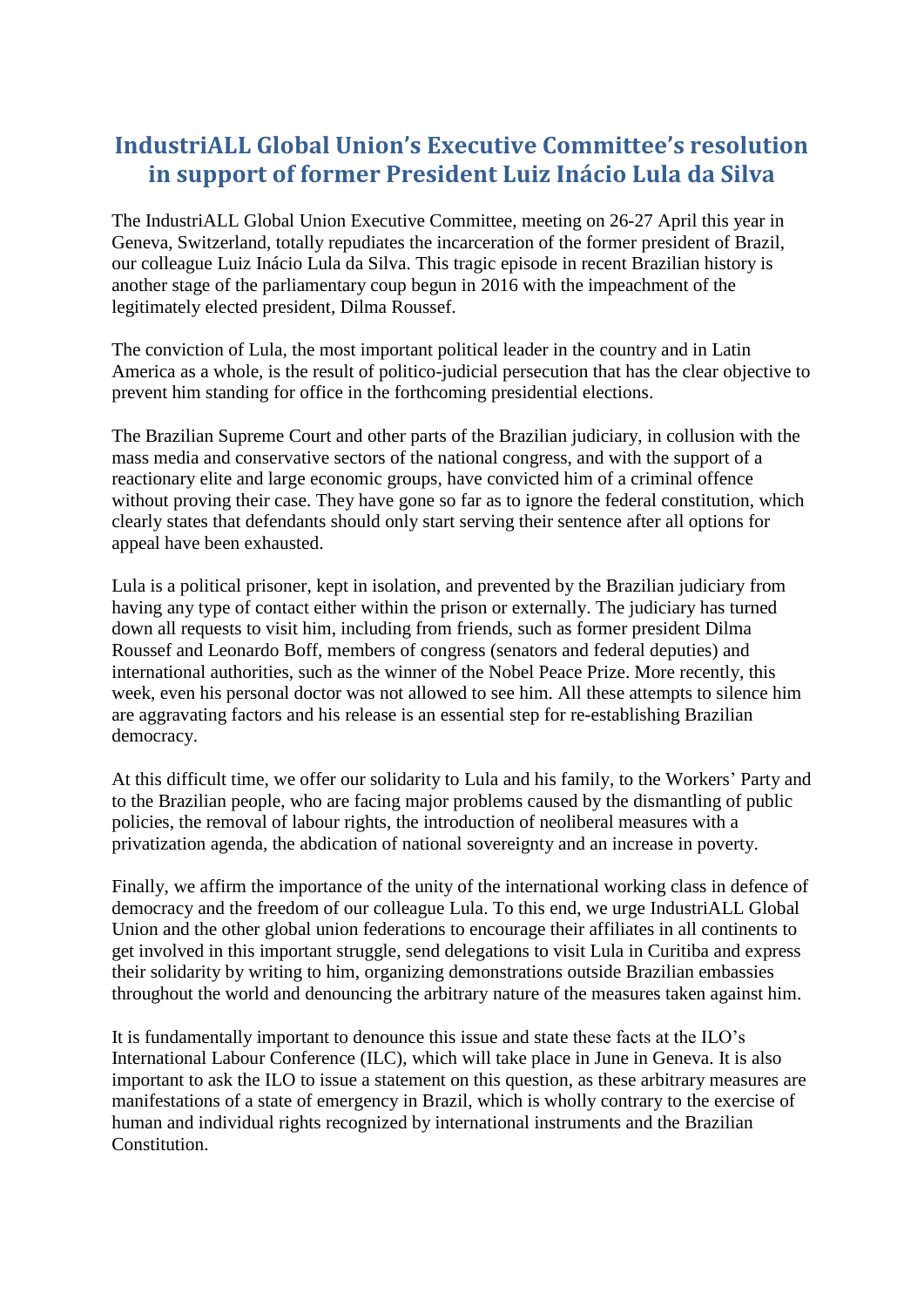## **IndustriALL Global Union's Executive Committee's resolution in support of former President Luiz Inácio Lula da Silva**

The IndustriALL Global Union Executive Committee, meeting on 26-27 April this year in Geneva, Switzerland, totally repudiates the incarceration of the former president of Brazil, our colleague Luiz Inácio Lula da Silva. This tragic episode in recent Brazilian history is another stage of the parliamentary coup begun in 2016 with the impeachment of the legitimately elected president, Dilma Roussef.

The conviction of Lula, the most important political leader in the country and in Latin America as a whole, is the result of politico-judicial persecution that has the clear objective to prevent him standing for office in the forthcoming presidential elections.

The Brazilian Supreme Court and other parts of the Brazilian judiciary, in collusion with the mass media and conservative sectors of the national congress, and with the support of a reactionary elite and large economic groups, have convicted him of a criminal offence without proving their case. They have gone so far as to ignore the federal constitution, which clearly states that defendants should only start serving their sentence after all options for appeal have been exhausted.

Lula is a political prisoner, kept in isolation, and prevented by the Brazilian judiciary from having any type of contact either within the prison or externally. The judiciary has turned down all requests to visit him, including from friends, such as former president Dilma Roussef and Leonardo Boff, members of congress (senators and federal deputies) and international authorities, such as the winner of the Nobel Peace Prize. More recently, this week, even his personal doctor was not allowed to see him. All these attempts to silence him are aggravating factors and his release is an essential step for re-establishing Brazilian democracy.

At this difficult time, we offer our solidarity to Lula and his family, to the Workers' Party and to the Brazilian people, who are facing major problems caused by the dismantling of public policies, the removal of labour rights, the introduction of neoliberal measures with a privatization agenda, the abdication of national sovereignty and an increase in poverty.

Finally, we affirm the importance of the unity of the international working class in defence of democracy and the freedom of our colleague Lula. To this end, we urge IndustriALL Global Union and the other global union federations to encourage their affiliates in all continents to get involved in this important struggle, send delegations to visit Lula in Curitiba and express their solidarity by writing to him, organizing demonstrations outside Brazilian embassies throughout the world and denouncing the arbitrary nature of the measures taken against him.

It is fundamentally important to denounce this issue and state these facts at the ILO's International Labour Conference (ILC), which will take place in June in Geneva. It is also important to ask the ILO to issue a statement on this question, as these arbitrary measures are manifestations of a state of emergency in Brazil, which is wholly contrary to the exercise of human and individual rights recognized by international instruments and the Brazilian **Constitution**